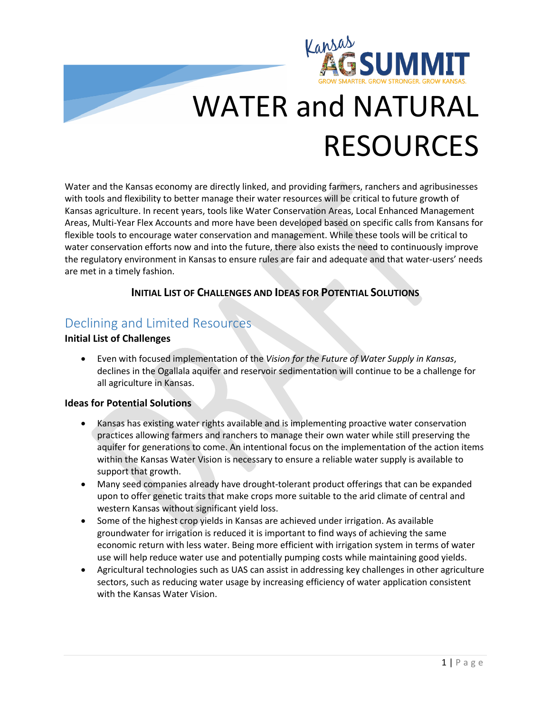

# WATER and NATURAL RESOURCES

Water and the Kansas economy are directly linked, and providing farmers, ranchers and agribusinesses with tools and flexibility to better manage their water resources will be critical to future growth of Kansas agriculture. In recent years, tools like Water Conservation Areas, Local Enhanced Management Areas, Multi-Year Flex Accounts and more have been developed based on specific calls from Kansans for flexible tools to encourage water conservation and management. While these tools will be critical to water conservation efforts now and into the future, there also exists the need to continuously improve the regulatory environment in Kansas to ensure rules are fair and adequate and that water-users' needs are met in a timely fashion.

#### **INITIAL LIST OF CHALLENGES AND IDEAS FOR POTENTIAL SOLUTIONS**

### Declining and Limited Resources

#### **Initial List of Challenges**

• Even with focused implementation of the *Vision for the Future of Water Supply in Kansas*, declines in the Ogallala aquifer and reservoir sedimentation will continue to be a challenge for all agriculture in Kansas.

#### **Ideas for Potential Solutions**

- Kansas has existing water rights available and is implementing proactive water conservation practices allowing farmers and ranchers to manage their own water while still preserving the aquifer for generations to come. An intentional focus on the implementation of the action items within the Kansas Water Vision is necessary to ensure a reliable water supply is available to support that growth.
- Many seed companies already have drought-tolerant product offerings that can be expanded upon to offer genetic traits that make crops more suitable to the arid climate of central and western Kansas without significant yield loss.
- Some of the highest crop yields in Kansas are achieved under irrigation. As available groundwater for irrigation is reduced it is important to find ways of achieving the same economic return with less water. Being more efficient with irrigation system in terms of water use will help reduce water use and potentially pumping costs while maintaining good yields.
- Agricultural technologies such as UAS can assist in addressing key challenges in other agriculture sectors, such as reducing water usage by increasing efficiency of water application consistent with the Kansas Water Vision.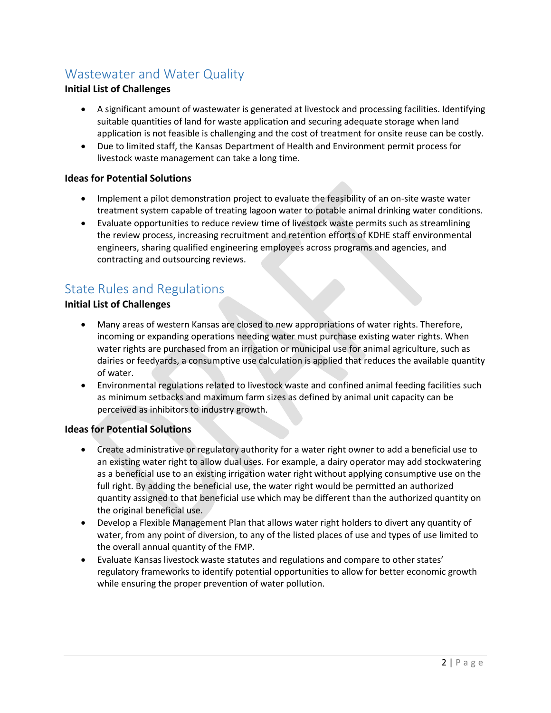## Wastewater and Water Quality

#### **Initial List of Challenges**

- A significant amount of wastewater is generated at livestock and processing facilities. Identifying suitable quantities of land for waste application and securing adequate storage when land application is not feasible is challenging and the cost of treatment for onsite reuse can be costly.
- Due to limited staff, the Kansas Department of Health and Environment permit process for livestock waste management can take a long time.

#### **Ideas for Potential Solutions**

- Implement a pilot demonstration project to evaluate the feasibility of an on-site waste water treatment system capable of treating lagoon water to potable animal drinking water conditions.
- Evaluate opportunities to reduce review time of livestock waste permits such as streamlining the review process, increasing recruitment and retention efforts of KDHE staff environmental engineers, sharing qualified engineering employees across programs and agencies, and contracting and outsourcing reviews.

## State Rules and Regulations

#### **Initial List of Challenges**

- Many areas of western Kansas are closed to new appropriations of water rights. Therefore, incoming or expanding operations needing water must purchase existing water rights. When water rights are purchased from an irrigation or municipal use for animal agriculture, such as dairies or feedyards, a consumptive use calculation is applied that reduces the available quantity of water.
- Environmental regulations related to livestock waste and confined animal feeding facilities such as minimum setbacks and maximum farm sizes as defined by animal unit capacity can be perceived as inhibitors to industry growth.

#### **Ideas for Potential Solutions**

- Create administrative or regulatory authority for a water right owner to add a beneficial use to an existing water right to allow dual uses. For example, a dairy operator may add stockwatering as a beneficial use to an existing irrigation water right without applying consumptive use on the full right. By adding the beneficial use, the water right would be permitted an authorized quantity assigned to that beneficial use which may be different than the authorized quantity on the original beneficial use.
- Develop a Flexible Management Plan that allows water right holders to divert any quantity of water, from any point of diversion, to any of the listed places of use and types of use limited to the overall annual quantity of the FMP.
- Evaluate Kansas livestock waste statutes and regulations and compare to other states' regulatory frameworks to identify potential opportunities to allow for better economic growth while ensuring the proper prevention of water pollution.